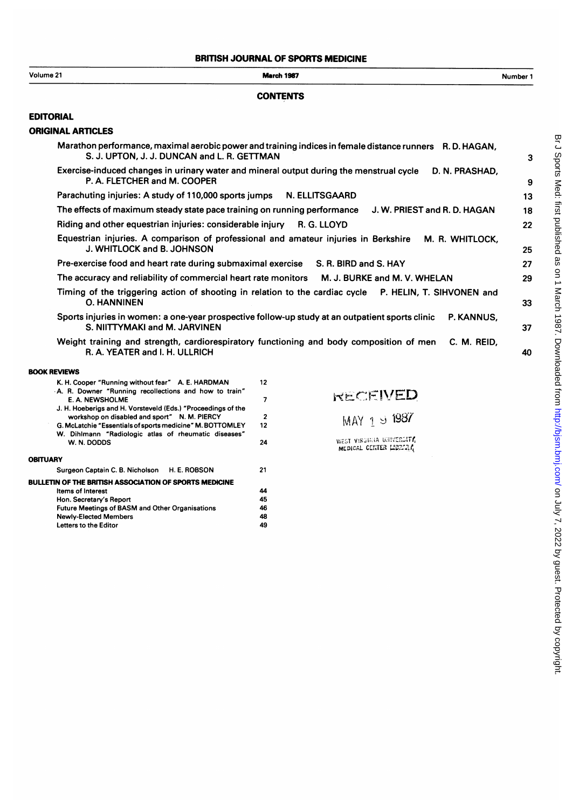## BRITISH JOURNAL OF SPORTS MEDICINE

| Volume 21                                                                                                                        | <b>March 1987</b>                                                                                       | Number 1 |
|----------------------------------------------------------------------------------------------------------------------------------|---------------------------------------------------------------------------------------------------------|----------|
|                                                                                                                                  | <b>CONTENTS</b>                                                                                         |          |
| <b>EDITORIAL</b>                                                                                                                 |                                                                                                         |          |
| <b>ORIGINAL ARTICLES</b>                                                                                                         |                                                                                                         |          |
| S. J. UPTON, J. J. DUNCAN and L. R. GETTMAN                                                                                      | Marathon performance, maximal aerobic power and training indices in female distance runners R.D. HAGAN, | 3        |
| Exercise-induced changes in urinary water and mineral output during the menstrual cycle<br>P. A. FLETCHER and M. COOPER          | D. N. PRASHAD,                                                                                          | 9        |
| Parachuting injuries: A study of 110,000 sports jumps                                                                            | N. ELLITSGAARD                                                                                          | 13       |
| The effects of maximum steady state pace training on running performance                                                         | J. W. PRIEST and R. D. HAGAN                                                                            | 18       |
| Riding and other equestrian injuries: considerable injury                                                                        | R. G. LLOYD                                                                                             | 22       |
| Equestrian injuries. A comparison of professional and amateur injuries in Berkshire<br>J. WHITLOCK and B. JOHNSON                | M. R. WHITLOCK.                                                                                         | 25       |
| Pre-exercise food and heart rate during submaximal exercise                                                                      | S. R. BIRD and S. HAY                                                                                   | 27       |
| The accuracy and reliability of commercial heart rate monitors                                                                   | M. J. BURKE and M. V. WHELAN                                                                            | 29       |
| <b>O. HANNINEN</b>                                                                                                               | Timing of the triggering action of shooting in relation to the cardiac cycle P. HELIN, T. SIHVONEN and  | 33       |
| Sports injuries in women: a one-year prospective follow-up study at an outpatient sports clinic<br>S. NIITTYMAKI and M. JARVINEN | P. KANNUS,                                                                                              | 37       |
| Weight training and strength, cardiorespiratory functioning and body composition of men<br>R. A. YEATER and I. H. ULLRICH        | C. M. REID.                                                                                             | 40       |
| <b>BOOK REVIEWS</b>                                                                                                              |                                                                                                         |          |
| K. H. Cooper "Running without fear" A. E. HARDMAN<br>A. R. Downer "Running recollections and how to train"<br>E. A. NEWSHOLME    | 12                                                                                                      |          |
|                                                                                                                                  | RECEIVED<br>$\overline{7}$                                                                              |          |
| J. H. Hoeberigs and H. Vorsteveld (Eds.) "Proceedings of the<br>workshop on disabled and sport" N. M. PIERCY                     | $\mathbf{2}$                                                                                            |          |
| G. McLatchie "Essentials of sports medicine" M. BOTTOMLEY                                                                        | MAY $1987$<br>12 <sup>2</sup>                                                                           |          |
| W. Dihlmann "Radiologic atlas of rheumatic diseases"<br>W. N. DODDS                                                              | WEST VIRGINIA UNIVERSITY<br>24                                                                          |          |
| <b>OBITUARY</b>                                                                                                                  | MEDICAL CENTER LIBRIRY                                                                                  |          |
| Surgeon Captain C. B. Nicholson<br><b>H. E. ROBSON</b>                                                                           | 21                                                                                                      |          |
| <b>BULLETIN OF THE BRITISH ASSOCIATION OF SPORTS MEDICINE</b>                                                                    |                                                                                                         |          |
| Items of Interest<br>Hon. Secretary's Report                                                                                     | 44<br>45                                                                                                |          |
| <b>Future Meetings of BASM and Other Organisations</b>                                                                           | 46                                                                                                      |          |
| <b>Newly-Elected Members</b>                                                                                                     | 48                                                                                                      |          |
| Letters to the Editor                                                                                                            | 49                                                                                                      |          |